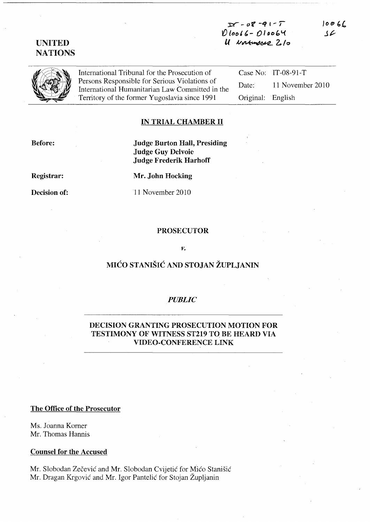$Df - 0f - 91 - 7$  $0$ loo66 - 010064  $U$  *vormous*  $2/0$   $1006$ J?

# UNITED **NATIONS**

International Tribunal for the Prosecution of Persons Responsible for Serious Violations of International Humanitarian Law Committed in the Territory of the former Yugoslavia since 1991

Case No: IT-08-91-T Date: 11 November 2010 Original: English

## IN TRIAL CHAMBER II

Before:

Judge Burton Hall, Presiding Judge Guy Delvoie Judge Frederik Harhoff

Registrar:

Decision of:

Mr. John Hocking

11 November 2010

### PROSECUTOR

### *v.*

# MICO STANISIC AND STOJAN ZUPLJANIN

### *PUBLIC*

## DECISION GRANTING PROSECUTION MOTION FOR TESTIMONY OF WITNESS ST219 TO BE HEARD VIA VIDEO-CONFERENCE LINK

### The Office of the Prosecutor

Ms. Joanna Korner Mr. Thomas Hannis

### Counsel for the Accused

Mr. Slobodan Zečević and Mr. Slobodan Cvijetić for Mićo Stanišić Mr. Dragan Krgović and Mr. Igor Pantelić for Stojan Župljanin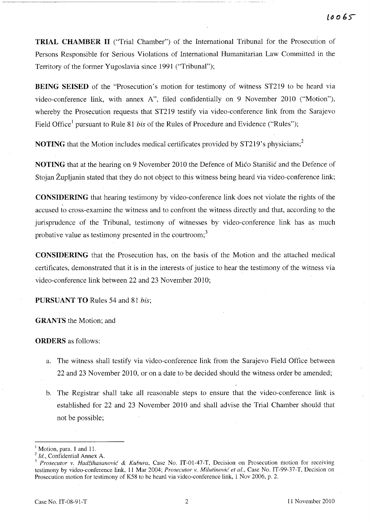TRIAL CHAMBER II ("Trial Chamber") of the International Tribunal for the Prosecution of Persons Responsible for Serious Violations of International Humanitarian Law Committed in the Territory of the former Yugoslavia since 1991 ("Tribunal");

BEING SEISED of the "Prosecution's motion for testimony of witness ST219 to be heard via video-conference link, with annex A", filed confidentially on 9 November 2010 ("Motion"), whereby the Prosecution requests that ST219 testify via video-conference link from the Sarajevo Field Office<sup>1</sup> pursuant to Rule 81 *bis* of the Rules of Procedure and Evidence ("Rules");

NOTING that the Motion includes medical certificates provided by ST219's physicians;<sup>2</sup>

NOTING that at the hearing on 9 November 2010 the Defence of Mico Stanisic and the Defence of Stojan Zupljanin stated that they do not object to this witness being heard via video-conference link;

CONSIDERING that hearing testimony by video-conference link does not violate the rights of the accused to cross-examine the witness and to confront the witness directly and that, according to the jurisprudence of the Tribunal, testimony of witnesses by video-conference link has as much probative value as testimony presented in the courtroom;<sup>3</sup>

CONSIDERING that the Prosecution has, on the basis of the Motion and the attached medical certificates; demonstrated that it is in the interests of justice to hear the testimony of the witness via video-conference link between 22 and 23 November 2010;

PURSUANT TO Rules 54 and 81 *his;* 

GRANTS the Motion; and

ORDERS as follows:

- a. The witness shall testify via video-conference link from the Sarajevo Field Office between 22 and 23 November 2010, or on a date to be decided should the witness order be amended;
- b. The Registrar shall take all reasonable steps to ensure that the video-conference link is established for 22 and 23 November 2010 and shall advise the Trial Chamber should that not be possible;

Motion, para. 1 and 11.

*Id.*, Confidential Annex A.

*Prosecutor v. Hadžihasanović & Kubura, Case No. IT-01-47-T, Decision on Prosecution motion for receiving* testimony by video-conference link, 11 Mar 2004; *Prosecutor v. Milutinovic et al.,* Case No. IT-99-37-T, Decision on Prosecution motion for testimony of K58 to be heard via video-conference link, 1 Nov 2006, p. 2.